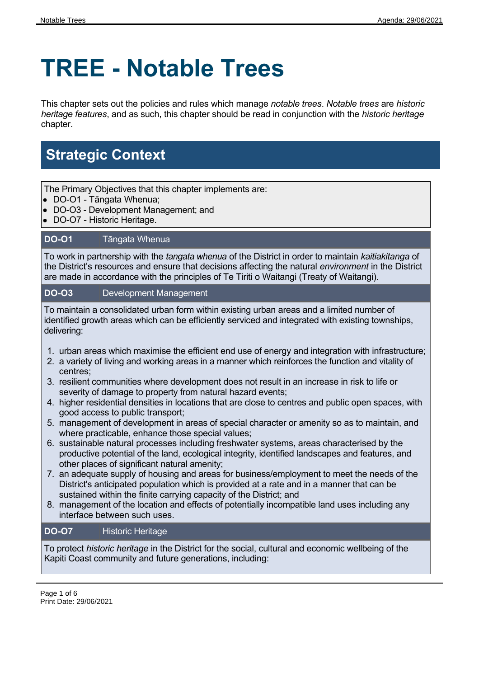# **TREE - Notable Trees**

This chapter sets out the policies and rules which manage *notable trees*. *Notable trees* are *historic heritage features*, and as such, this chapter should be read in conjunction with the *historic heritage* chapter.

## **Strategic Context**

The Primary Objectives that this chapter implements are:

- DO-O1 Tāngata Whenua;
- DO-O3 Development Management; and
- DO-O7 Historic Heritage.

#### **DO-O1** Tāngata Whenua

To work in partnership with the *tangata whenua* of the District in order to maintain *kaitiakitanga* of the District's resources and ensure that decisions affecting the natural *environment* in the District are made in accordance with the principles of Te Tiriti o Waitangi (Treaty of Waitangi).

#### **DO-O3** Development Management

To maintain a consolidated urban form within existing urban areas and a limited number of identified growth areas which can be efficiently serviced and integrated with existing townships, delivering:

- 1. urban areas which maximise the efficient end use of energy and integration with infrastructure;
- 2. a variety of living and working areas in a manner which reinforces the function and vitality of centres;
- 3. resilient communities where development does not result in an increase in risk to life or severity of damage to property from natural hazard events;
- 4. higher residential densities in locations that are close to centres and public open spaces, with good access to public transport;
- 5. management of development in areas of special character or amenity so as to maintain, and where practicable, enhance those special values;
- 6. sustainable natural processes including freshwater systems, areas characterised by the productive potential of the land, ecological integrity, identified landscapes and features, and other places of significant natural amenity;
- 7. an adequate supply of housing and areas for business/employment to meet the needs of the District's anticipated population which is provided at a rate and in a manner that can be sustained within the finite carrying capacity of the District; and
- 8. management of the location and effects of potentially incompatible land uses including any interface between such uses.

#### **DO-O7** Historic Heritage

To protect *historic heritage* in the District for the social, cultural and economic wellbeing of the Kapiti Coast community and future generations, including: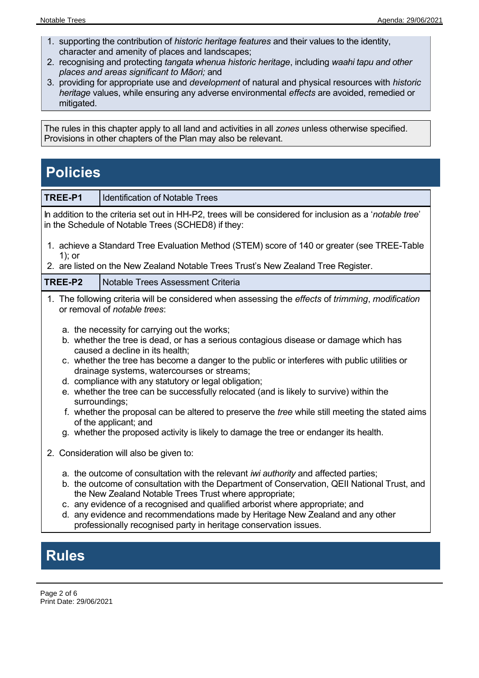- 1. supporting the contribution of *historic heritage features* and their values to the identity, character and amenity of places and landscapes;
- 2. recognising and protecting *tangata whenua historic heritage*, including *waahi tapu and other places and areas significant to Māori;* and
- 3. providing for appropriate use and *development* of natural and physical resources with *historic heritage* values, while ensuring any adverse environmental *effects* are avoided, remedied or mitigated.

The rules in this chapter apply to all land and activities in all *zones* unless otherwise specified. Provisions in other chapters of the Plan may also be relevant.

### **Policies**

| TREE-P1                                                                                                                                                                                                                                                                                                                                                                                                                                                                                                                                                                                                                                                                                                                | <b>Identification of Notable Trees</b>                                                                                                                                                                                                                                                                                                                                                                                                                                                                                                  |  |  |  |  |
|------------------------------------------------------------------------------------------------------------------------------------------------------------------------------------------------------------------------------------------------------------------------------------------------------------------------------------------------------------------------------------------------------------------------------------------------------------------------------------------------------------------------------------------------------------------------------------------------------------------------------------------------------------------------------------------------------------------------|-----------------------------------------------------------------------------------------------------------------------------------------------------------------------------------------------------------------------------------------------------------------------------------------------------------------------------------------------------------------------------------------------------------------------------------------------------------------------------------------------------------------------------------------|--|--|--|--|
| In addition to the criteria set out in HH-P2, trees will be considered for inclusion as a 'notable tree'<br>in the Schedule of Notable Trees (SCHED8) if they:                                                                                                                                                                                                                                                                                                                                                                                                                                                                                                                                                         |                                                                                                                                                                                                                                                                                                                                                                                                                                                                                                                                         |  |  |  |  |
| 1. achieve a Standard Tree Evaluation Method (STEM) score of 140 or greater (see TREE-Table<br>$1)$ ; or                                                                                                                                                                                                                                                                                                                                                                                                                                                                                                                                                                                                               |                                                                                                                                                                                                                                                                                                                                                                                                                                                                                                                                         |  |  |  |  |
| 2. are listed on the New Zealand Notable Trees Trust's New Zealand Tree Register.                                                                                                                                                                                                                                                                                                                                                                                                                                                                                                                                                                                                                                      |                                                                                                                                                                                                                                                                                                                                                                                                                                                                                                                                         |  |  |  |  |
| TREE-P2                                                                                                                                                                                                                                                                                                                                                                                                                                                                                                                                                                                                                                                                                                                | Notable Trees Assessment Criteria                                                                                                                                                                                                                                                                                                                                                                                                                                                                                                       |  |  |  |  |
| 1. The following criteria will be considered when assessing the <i>effects</i> of <i>trimming, modification</i><br>or removal of notable trees:                                                                                                                                                                                                                                                                                                                                                                                                                                                                                                                                                                        |                                                                                                                                                                                                                                                                                                                                                                                                                                                                                                                                         |  |  |  |  |
| a. the necessity for carrying out the works;<br>b. whether the tree is dead, or has a serious contagious disease or damage which has<br>caused a decline in its health;<br>c. whether the tree has become a danger to the public or interferes with public utilities or<br>drainage systems, watercourses or streams;<br>d. compliance with any statutory or legal obligation;<br>e. whether the tree can be successfully relocated (and is likely to survive) within the<br>surroundings;<br>f. whether the proposal can be altered to preserve the <i>tree</i> while still meeting the stated aims<br>of the applicant; and<br>g. whether the proposed activity is likely to damage the tree or endanger its health. |                                                                                                                                                                                                                                                                                                                                                                                                                                                                                                                                         |  |  |  |  |
|                                                                                                                                                                                                                                                                                                                                                                                                                                                                                                                                                                                                                                                                                                                        | 2. Consideration will also be given to:<br>a. the outcome of consultation with the relevant <i>iwi authority</i> and affected parties;<br>b. the outcome of consultation with the Department of Conservation, QEII National Trust, and<br>the New Zealand Notable Trees Trust where appropriate;<br>c. any evidence of a recognised and qualified arborist where appropriate; and<br>d. any evidence and recommendations made by Heritage New Zealand and any other<br>professionally recognised party in heritage conservation issues. |  |  |  |  |

**Rules**

Page 2 of 6 Print Date: 29/06/2021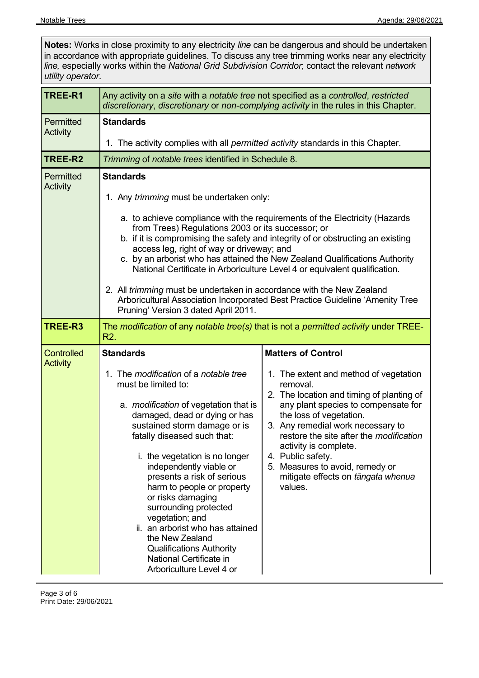| utility operator.             | line, especially works within the National Grid Subdivision Corridor; contact the relevant network                                                                                                                                                                                                                                                                                                                                                                                                                                                                                                                                                                                             | Notes: Works in close proximity to any electricity line can be dangerous and should be undertaken<br>in accordance with appropriate guidelines. To discuss any tree trimming works near any electricity                                                                                                                                                                                                                 |  |  |  |  |
|-------------------------------|------------------------------------------------------------------------------------------------------------------------------------------------------------------------------------------------------------------------------------------------------------------------------------------------------------------------------------------------------------------------------------------------------------------------------------------------------------------------------------------------------------------------------------------------------------------------------------------------------------------------------------------------------------------------------------------------|-------------------------------------------------------------------------------------------------------------------------------------------------------------------------------------------------------------------------------------------------------------------------------------------------------------------------------------------------------------------------------------------------------------------------|--|--|--|--|
| TREE-R1                       | Any activity on a site with a notable tree not specified as a controlled, restricted<br>discretionary, discretionary or non-complying activity in the rules in this Chapter.                                                                                                                                                                                                                                                                                                                                                                                                                                                                                                                   |                                                                                                                                                                                                                                                                                                                                                                                                                         |  |  |  |  |
| Permitted<br>Activity         | <b>Standards</b><br>1. The activity complies with all <i>permitted activity</i> standards in this Chapter.                                                                                                                                                                                                                                                                                                                                                                                                                                                                                                                                                                                     |                                                                                                                                                                                                                                                                                                                                                                                                                         |  |  |  |  |
| TREE-R2                       | Trimming of notable trees identified in Schedule 8.                                                                                                                                                                                                                                                                                                                                                                                                                                                                                                                                                                                                                                            |                                                                                                                                                                                                                                                                                                                                                                                                                         |  |  |  |  |
| Permitted<br>Activity         | <b>Standards</b><br>1. Any trimming must be undertaken only:<br>a. to achieve compliance with the requirements of the Electricity (Hazards<br>from Trees) Regulations 2003 or its successor; or<br>b. if it is compromising the safety and integrity of or obstructing an existing<br>access leg, right of way or driveway; and<br>c. by an arborist who has attained the New Zealand Qualifications Authority<br>National Certificate in Arboriculture Level 4 or equivalent qualification.<br>2. All trimming must be undertaken in accordance with the New Zealand<br>Arboricultural Association Incorporated Best Practice Guideline 'Amenity Tree<br>Pruning' Version 3 dated April 2011. |                                                                                                                                                                                                                                                                                                                                                                                                                         |  |  |  |  |
| TREE-R3                       | The modification of any notable tree(s) that is not a permitted activity under TREE-<br>R <sub>2</sub> .                                                                                                                                                                                                                                                                                                                                                                                                                                                                                                                                                                                       |                                                                                                                                                                                                                                                                                                                                                                                                                         |  |  |  |  |
| Controlled<br><b>Activity</b> | <b>Standards</b><br>1. The modification of a notable tree<br>must be limited to:<br>a. <i>modification</i> of vegetation that is<br>damaged, dead or dying or has<br>sustained storm damage or is<br>fatally diseased such that:<br>i. the vegetation is no longer<br>independently viable or<br>presents a risk of serious<br>harm to people or property<br>or risks damaging<br>surrounding protected<br>vegetation; and<br>ii. an arborist who has attained<br>the New Zealand<br><b>Qualifications Authority</b><br>National Certificate in<br>Arboriculture Level 4 or                                                                                                                    | <b>Matters of Control</b><br>1. The extent and method of vegetation<br>removal.<br>2. The location and timing of planting of<br>any plant species to compensate for<br>the loss of vegetation.<br>3. Any remedial work necessary to<br>restore the site after the <i>modification</i><br>activity is complete.<br>4. Public safety.<br>5. Measures to avoid, remedy or<br>mitigate effects on tāngata whenua<br>values. |  |  |  |  |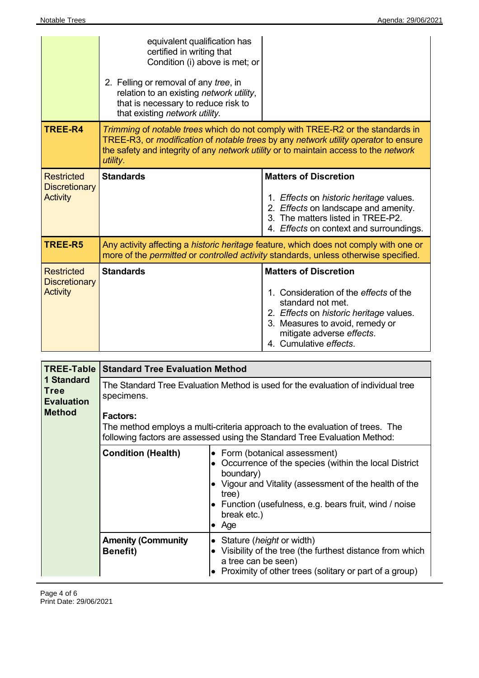|                                                              | equivalent qualification has<br>certified in writing that<br>Condition (i) above is met; or<br>2. Felling or removal of any tree, in<br>relation to an existing network utility,<br>that is necessary to reduce risk to<br>that existing network utility.                        |                                                                                                                                                                                                                                  |  |  |  |
|--------------------------------------------------------------|----------------------------------------------------------------------------------------------------------------------------------------------------------------------------------------------------------------------------------------------------------------------------------|----------------------------------------------------------------------------------------------------------------------------------------------------------------------------------------------------------------------------------|--|--|--|
| TREE-R4                                                      | Trimming of notable trees which do not comply with TREE-R2 or the standards in<br>TREE-R3, or <i>modification</i> of notable trees by any network utility operator to ensure<br>the safety and integrity of any network utility or to maintain access to the network<br>utility. |                                                                                                                                                                                                                                  |  |  |  |
| <b>Restricted</b><br><b>Discretionary</b><br><b>Activity</b> | <b>Standards</b>                                                                                                                                                                                                                                                                 | <b>Matters of Discretion</b><br>1. Effects on historic heritage values.<br>2. Effects on landscape and amenity.<br>3. The matters listed in TREE-P2.<br>4. Effects on context and surroundings.                                  |  |  |  |
| TREE-R5                                                      | Any activity affecting a historic heritage feature, which does not comply with one or<br>more of the permitted or controlled activity standards, unless otherwise specified.                                                                                                     |                                                                                                                                                                                                                                  |  |  |  |
| <b>Restricted</b><br><b>Discretionary</b><br><b>Activity</b> | <b>Standards</b>                                                                                                                                                                                                                                                                 | <b>Matters of Discretion</b><br>1. Consideration of the effects of the<br>standard not met.<br>2. Effects on historic heritage values.<br>3. Measures to avoid, remedy or<br>mitigate adverse effects.<br>4. Cumulative effects. |  |  |  |

|                                                                 | <b>TREE-Table Standard Tree Evaluation Method</b>                                                                                                         |                                                                                                                                                                                                                                                     |  |  |
|-----------------------------------------------------------------|-----------------------------------------------------------------------------------------------------------------------------------------------------------|-----------------------------------------------------------------------------------------------------------------------------------------------------------------------------------------------------------------------------------------------------|--|--|
| 1 Standard<br><b>Tree</b><br><b>Evaluation</b><br><b>Method</b> | The Standard Tree Evaluation Method is used for the evaluation of individual tree<br>specimens.<br><b>Factors:</b>                                        |                                                                                                                                                                                                                                                     |  |  |
|                                                                 | The method employs a multi-criteria approach to the evaluation of trees. The<br>following factors are assessed using the Standard Tree Evaluation Method: |                                                                                                                                                                                                                                                     |  |  |
|                                                                 | <b>Condition (Health)</b>                                                                                                                                 | • Form (botanical assessment)<br>Occurrence of the species (within the local District<br>boundary)<br>Vigour and Vitality (assessment of the health of the<br>tree)<br>• Function (usefulness, e.g. bears fruit, wind / noise<br>break etc.)<br>Age |  |  |
|                                                                 | <b>Amenity (Community</b><br><b>Benefit)</b>                                                                                                              | Stature ( <i>height</i> or width)<br>Visibility of the tree (the furthest distance from which<br>a tree can be seen)<br>Proximity of other trees (solitary or part of a group)                                                                      |  |  |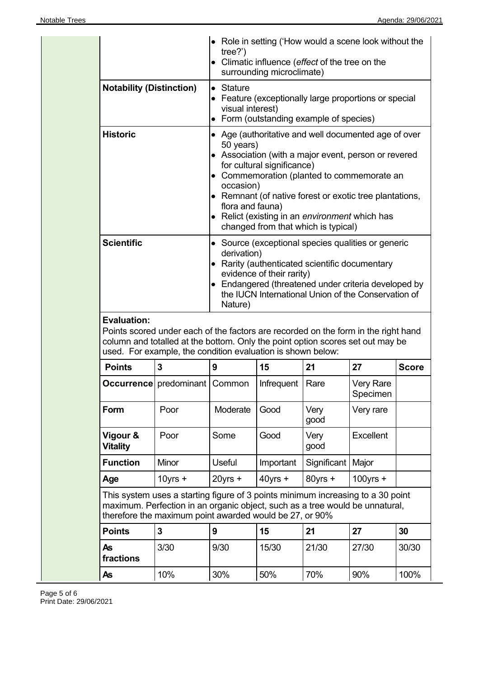|                                                    |                                                                                                                                                                                                                                     | tree?                                                                                                                                                                                                                                                                                                                                                                                      | surrounding microclimate) | • Role in setting ('How would a scene look without the<br>• Climatic influence (effect of the tree on the |                       |              |  |
|----------------------------------------------------|-------------------------------------------------------------------------------------------------------------------------------------------------------------------------------------------------------------------------------------|--------------------------------------------------------------------------------------------------------------------------------------------------------------------------------------------------------------------------------------------------------------------------------------------------------------------------------------------------------------------------------------------|---------------------------|-----------------------------------------------------------------------------------------------------------|-----------------------|--------------|--|
| <b>Notability (Distinction)</b><br><b>Historic</b> |                                                                                                                                                                                                                                     | $\bullet$ Stature<br>• Feature (exceptionally large proportions or special<br>visual interest)<br>• Form (outstanding example of species)                                                                                                                                                                                                                                                  |                           |                                                                                                           |                       |              |  |
|                                                    |                                                                                                                                                                                                                                     | • Age (authoritative and well documented age of over<br>50 years)<br>• Association (with a major event, person or revered<br>for cultural significance)<br>• Commemoration (planted to commemorate an<br>occasion)<br>• Remnant (of native forest or exotic tree plantations,<br>flora and fauna)<br>• Relict (existing in an environment which has<br>changed from that which is typical) |                           |                                                                                                           |                       |              |  |
| <b>Scientific</b>                                  |                                                                                                                                                                                                                                     | • Source (exceptional species qualities or generic<br>derivation)<br>• Rarity (authenticated scientific documentary<br>evidence of their rarity)<br>• Endangered (threatened under criteria developed by<br>the IUCN International Union of the Conservation of<br>Nature)                                                                                                                 |                           |                                                                                                           |                       |              |  |
| <b>Evaluation:</b>                                 | Points scored under each of the factors are recorded on the form in the right hand<br>column and totalled at the bottom. Only the point option scores set out may be<br>used. For example, the condition evaluation is shown below: |                                                                                                                                                                                                                                                                                                                                                                                            |                           |                                                                                                           |                       |              |  |
| <b>Points</b>                                      | 3                                                                                                                                                                                                                                   | 9                                                                                                                                                                                                                                                                                                                                                                                          | 15                        | 21                                                                                                        | 27                    | <b>Score</b> |  |
|                                                    | <b>Occurrence</b> predominant                                                                                                                                                                                                       | Common                                                                                                                                                                                                                                                                                                                                                                                     | Infrequent                | Rare                                                                                                      | Very Rare<br>Specimen |              |  |
| Form                                               | Poor                                                                                                                                                                                                                                | Moderate                                                                                                                                                                                                                                                                                                                                                                                   | Good                      | Very                                                                                                      |                       |              |  |
|                                                    |                                                                                                                                                                                                                                     |                                                                                                                                                                                                                                                                                                                                                                                            |                           | good                                                                                                      | Very rare             |              |  |
| Vigour &<br><b>Vitality</b>                        | Poor                                                                                                                                                                                                                                | Some                                                                                                                                                                                                                                                                                                                                                                                       | Good                      | Very<br>good                                                                                              | Excellent             |              |  |
| <b>Function</b>                                    | Minor                                                                                                                                                                                                                               | Useful                                                                                                                                                                                                                                                                                                                                                                                     | Important                 | Significant                                                                                               | Major                 |              |  |
|                                                    | $10$ yrs +                                                                                                                                                                                                                          | $20$ yrs +                                                                                                                                                                                                                                                                                                                                                                                 | $40$ yrs +                | $80$ yrs +                                                                                                | $100$ yrs +           |              |  |
| Age                                                | This system uses a starting figure of 3 points minimum increasing to a 30 point<br>maximum. Perfection in an organic object, such as a tree would be unnatural,<br>therefore the maximum point awarded would be 27, or 90%          |                                                                                                                                                                                                                                                                                                                                                                                            |                           |                                                                                                           |                       |              |  |
| <b>Points</b>                                      | 3                                                                                                                                                                                                                                   | 9                                                                                                                                                                                                                                                                                                                                                                                          | 15                        | 21                                                                                                        | 27                    | 30           |  |
| As<br>fractions                                    | 3/30                                                                                                                                                                                                                                | 9/30                                                                                                                                                                                                                                                                                                                                                                                       | 15/30                     | 21/30                                                                                                     | 27/30                 | 30/30        |  |